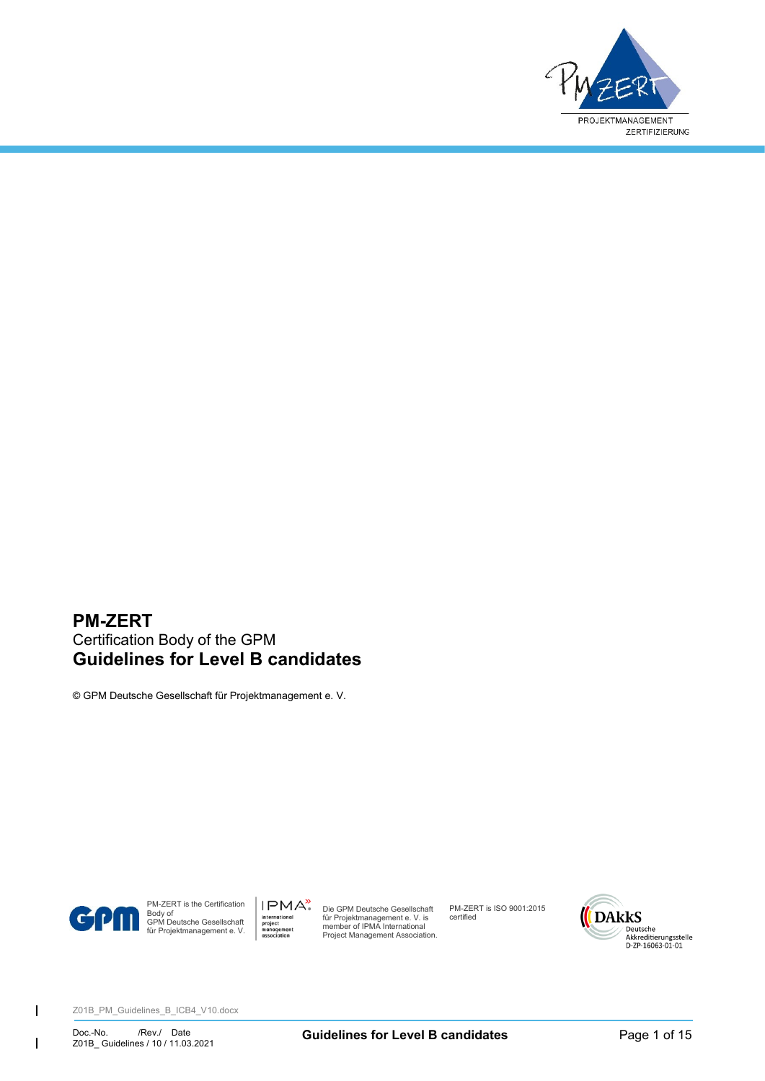

# **PM-ZERT** Certification Body of the GPM **Guidelines for Level B candidates**

© GPM Deutsche Gesellschaft für Projektmanagement e. V.



 $\overline{1}$ 

 $\mathsf{l}$ 

PM-ZERT is the Certification Body of GPM Deutsche Gesellschaft für Projektmanagement e. V.

IPMA<sup>></sup> Die GPM Deutsche Gesellschaft für Projektmanagement e. V. is member of IPMA International Project Management Association.

PM-ZERT is ISO 9001:2015 certified

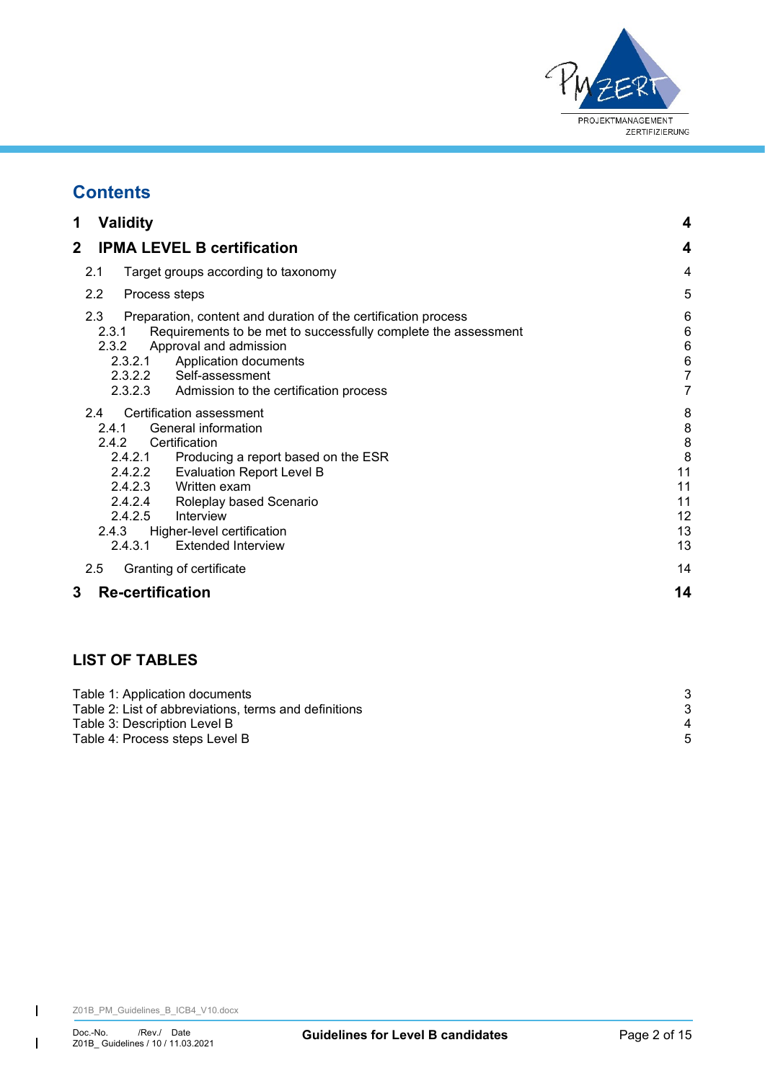

# **Contents**

| 1<br><b>Validity</b>                                                                                                                                                                                                                                                                                                                                       | 4                                                    |
|------------------------------------------------------------------------------------------------------------------------------------------------------------------------------------------------------------------------------------------------------------------------------------------------------------------------------------------------------------|------------------------------------------------------|
| 2<br><b>IPMA LEVEL B certification</b>                                                                                                                                                                                                                                                                                                                     | 4                                                    |
| 2.1<br>Target groups according to taxonomy                                                                                                                                                                                                                                                                                                                 | 4                                                    |
| $2.2\,$<br>Process steps                                                                                                                                                                                                                                                                                                                                   | 5                                                    |
| 2.3<br>Preparation, content and duration of the certification process<br>2.3.1<br>Requirements to be met to successfully complete the assessment<br>Approval and admission<br>2.3.2<br>Application documents<br>2.3.2.1<br>2.3.2.2 Self-assessment<br>2.3.2.3 Admission to the certification process                                                       | 6<br>6<br>6<br>$\epsilon$<br>7<br>7                  |
| Certification assessment<br>2.4<br>General information<br>2.4.1<br>Certification<br>242<br>2.4.2.1<br>Producing a report based on the ESR<br>2.4.2.2<br><b>Evaluation Report Level B</b><br>2.4.2.3 Written exam<br>2.4.2.4 Roleplay based Scenario<br>2.4.2.5<br>Interview<br>2.4.3<br>Higher-level certification<br><b>Extended Interview</b><br>2.4.3.1 | 8<br>8<br>8<br>8<br>11<br>11<br>11<br>12<br>13<br>13 |
| 2.5<br>Granting of certificate                                                                                                                                                                                                                                                                                                                             | 14                                                   |
| <b>Re-certification</b><br>3                                                                                                                                                                                                                                                                                                                               | 14                                                   |

# **LIST OF TABLES**

| 4 |
|---|
|   |
|   |

 $\overline{1}$ 

 $\begin{array}{c} \hline \end{array}$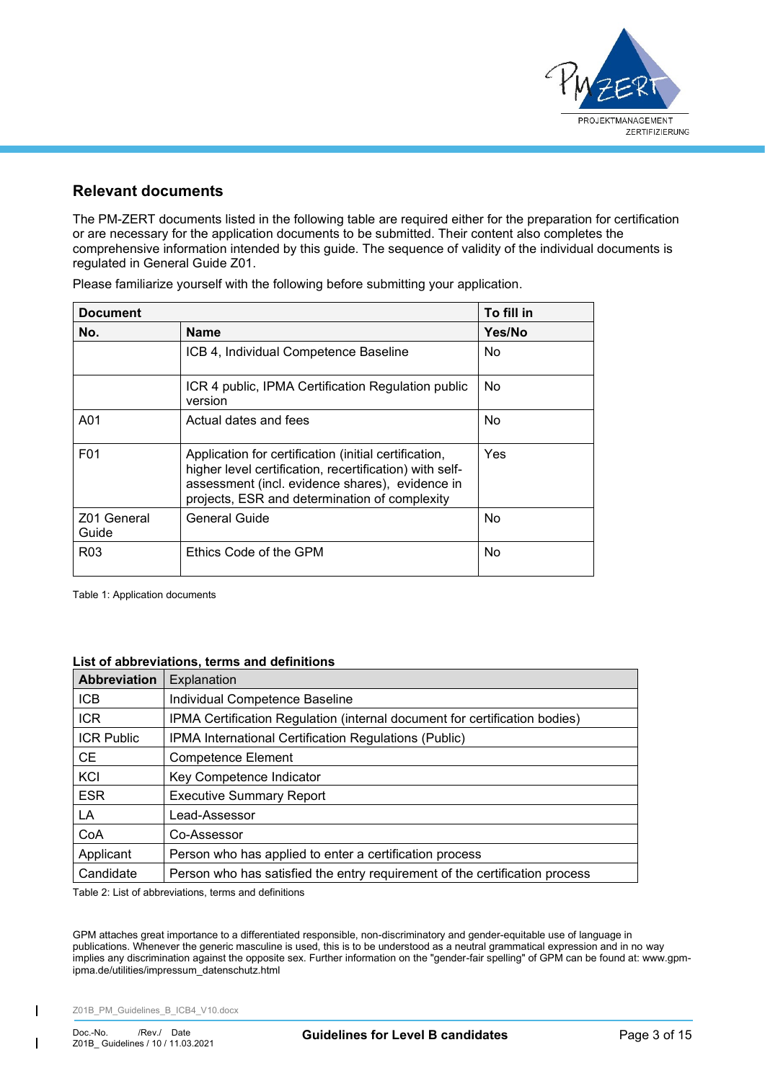

# **Relevant documents**

The PM-ZERT documents listed in the following table are required either for the preparation for certification or are necessary for the application documents to be submitted. Their content also completes the comprehensive information intended by this guide. The sequence of validity of the individual documents is regulated in General Guide Z01.

| <b>Document</b>      |                                                                                                                                                                                                                      | To fill in |
|----------------------|----------------------------------------------------------------------------------------------------------------------------------------------------------------------------------------------------------------------|------------|
| No.                  | <b>Name</b>                                                                                                                                                                                                          | Yes/No     |
|                      | ICB 4, Individual Competence Baseline                                                                                                                                                                                | No.        |
|                      | ICR 4 public, IPMA Certification Regulation public<br>version                                                                                                                                                        | No.        |
| A01                  | Actual dates and fees                                                                                                                                                                                                | No         |
| F <sub>0</sub> 1     | Application for certification (initial certification,<br>higher level certification, recertification) with self-<br>assessment (incl. evidence shares), evidence in<br>projects, ESR and determination of complexity | Yes        |
| Z01 General<br>Guide | General Guide                                                                                                                                                                                                        | No         |
| R <sub>0</sub> 3     | Ethics Code of the GPM                                                                                                                                                                                               | No.        |

Please familiarize yourself with the following before submitting your application.

<span id="page-2-0"></span>Table 1: Application documents

## **List of abbreviations, terms and definitions**

| <b>Abbreviation</b> | Explanation                                                                 |
|---------------------|-----------------------------------------------------------------------------|
| <b>ICB</b>          | Individual Competence Baseline                                              |
| <b>ICR</b>          | IPMA Certification Regulation (internal document for certification bodies)  |
| <b>ICR Public</b>   | IPMA International Certification Regulations (Public)                       |
| <b>CE</b>           | <b>Competence Element</b>                                                   |
| KCI                 | Key Competence Indicator                                                    |
| <b>ESR</b>          | <b>Executive Summary Report</b>                                             |
| LA                  | Lead-Assessor                                                               |
| CoA                 | Co-Assessor                                                                 |
| Applicant           | Person who has applied to enter a certification process                     |
| Candidate           | Person who has satisfied the entry requirement of the certification process |

<span id="page-2-1"></span>Table 2: List of abbreviations, terms and definitions

GPM attaches great importance to a differentiated responsible, non-discriminatory and gender-equitable use of language in publications. Whenever the generic masculine is used, this is to be understood as a neutral grammatical expression and in no way implies any discrimination against the opposite sex. Further information on the "gender-fair spelling" of GPM can be found at: www.gpmipma.de/utilities/impressum\_datenschutz.html

Z01B\_PM\_Guidelines\_B\_ICB4\_V10.docx

 $\overline{\phantom{a}}$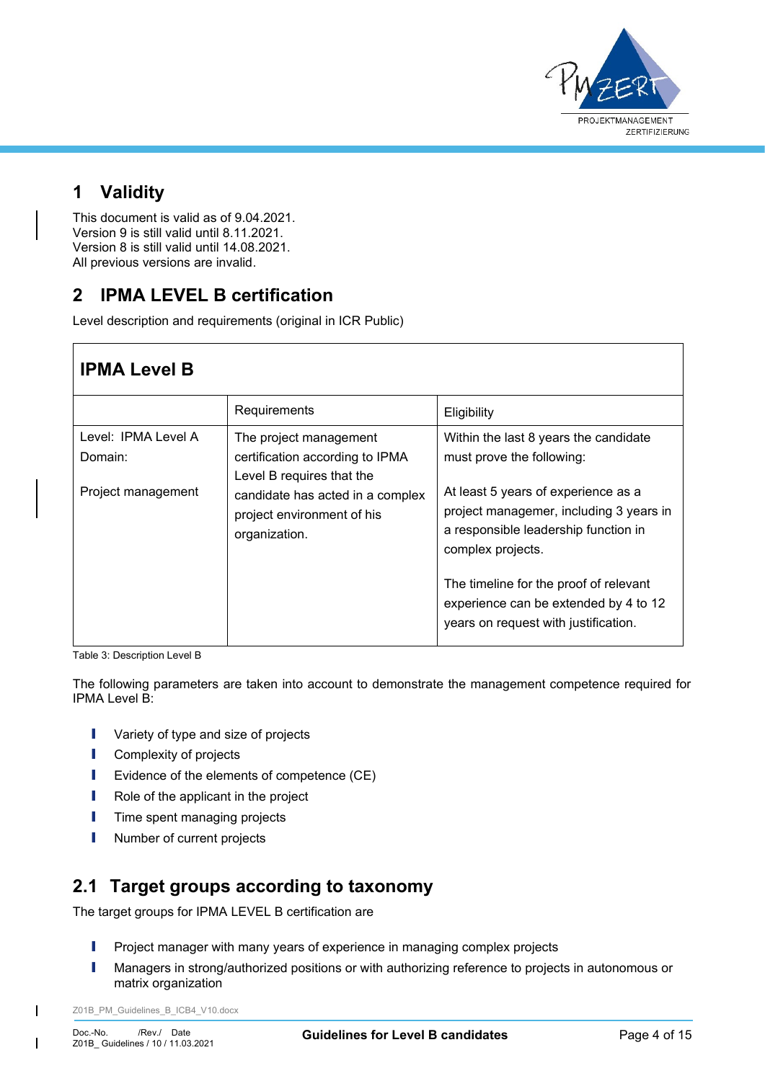

# <span id="page-3-0"></span>**1 Validity**

This document is valid as of 9.04.2021. Version 9 is still valid until 8.11.2021. Version 8 is still valid until 14.08.2021. All previous versions are invalid.

# <span id="page-3-1"></span>**2 IPMA LEVEL B certification**

Level description and requirements (original in ICR Public)

| <b>IPMA Level B</b>            |                                                                                        |                                                                                                                                                                                                                                |
|--------------------------------|----------------------------------------------------------------------------------------|--------------------------------------------------------------------------------------------------------------------------------------------------------------------------------------------------------------------------------|
|                                | Requirements                                                                           | Eligibility                                                                                                                                                                                                                    |
| Level: IPMA Level A<br>Domain: | The project management<br>certification according to IPMA<br>Level B requires that the | Within the last 8 years the candidate<br>must prove the following:                                                                                                                                                             |
| Project management             | candidate has acted in a complex<br>project environment of his<br>organization.        | At least 5 years of experience as a<br>project managemer, including 3 years in<br>a responsible leadership function in<br>complex projects.<br>The timeline for the proof of relevant<br>experience can be extended by 4 to 12 |
|                                |                                                                                        | years on request with justification.                                                                                                                                                                                           |

<span id="page-3-3"></span>Table 3: Description Level B

The following parameters are taken into account to demonstrate the management competence required for IPMA Level B:

- **I** Variety of type and size of projects
- **I** Complexity of projects
- I Evidence of the elements of competence (CE)
- **I** Role of the applicant in the project
- **I** Time spent managing projects
- **I** Number of current projects

# <span id="page-3-2"></span>**2.1 Target groups according to taxonomy**

The target groups for IPMA LEVEL B certification are

- **I** Project manager with many years of experience in managing complex projects
- I Managers in strong/authorized positions or with authorizing reference to projects in autonomous or matrix organization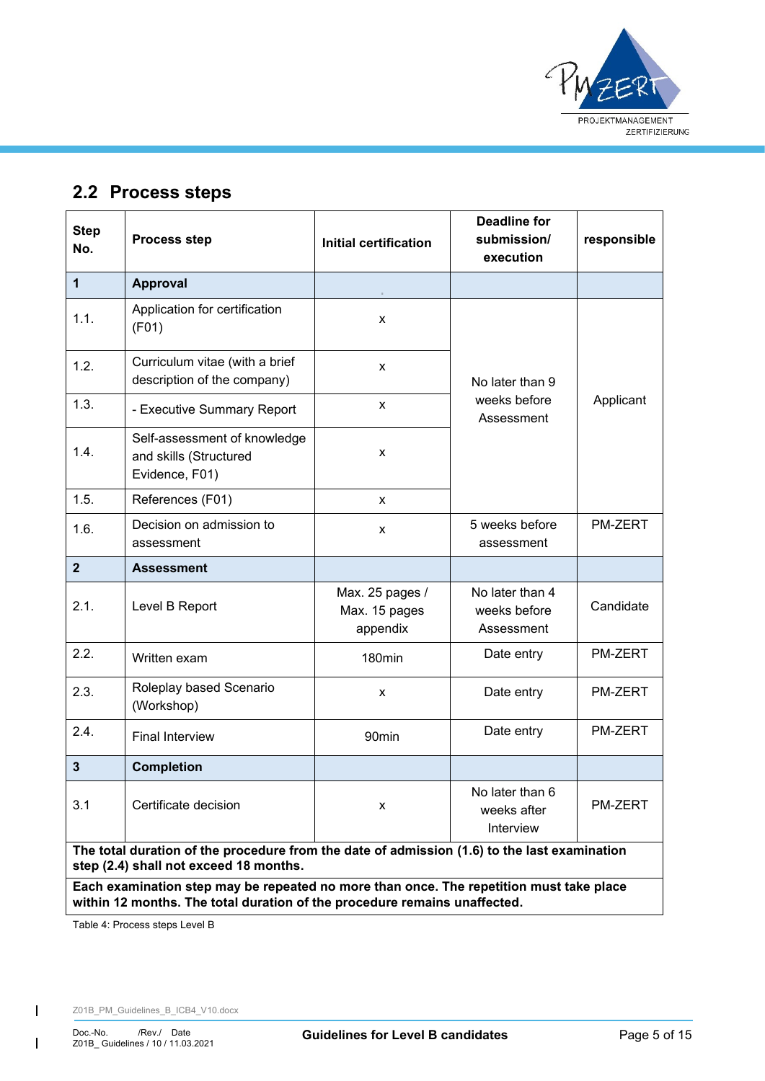

# <span id="page-4-0"></span>**2.2 Process steps**

| <b>Step</b><br>No.                                                                                                                                                   | <b>Process step</b>                                                      | <b>Initial certification</b>                 | <b>Deadline for</b><br>submission/<br>execution | responsible    |  |
|----------------------------------------------------------------------------------------------------------------------------------------------------------------------|--------------------------------------------------------------------------|----------------------------------------------|-------------------------------------------------|----------------|--|
| 1                                                                                                                                                                    | Approval                                                                 |                                              |                                                 |                |  |
| 1.1.                                                                                                                                                                 | Application for certification<br>(F01)                                   | X                                            |                                                 |                |  |
| 1.2.                                                                                                                                                                 | Curriculum vitae (with a brief<br>description of the company)            | X                                            | No later than 9                                 |                |  |
| 1.3.                                                                                                                                                                 | - Executive Summary Report                                               | X                                            | weeks before<br>Assessment                      | Applicant      |  |
| 1.4.                                                                                                                                                                 | Self-assessment of knowledge<br>and skills (Structured<br>Evidence, F01) | X                                            |                                                 |                |  |
| 1.5.                                                                                                                                                                 | References (F01)                                                         | X                                            |                                                 |                |  |
| 1.6.                                                                                                                                                                 | Decision on admission to<br>assessment                                   | X                                            | 5 weeks before<br>assessment                    | <b>PM-ZERT</b> |  |
| $\overline{2}$                                                                                                                                                       | <b>Assessment</b>                                                        |                                              |                                                 |                |  |
| 2.1.                                                                                                                                                                 | Level B Report                                                           | Max. 25 pages /<br>Max. 15 pages<br>appendix | No later than 4<br>weeks before<br>Assessment   | Candidate      |  |
| 2.2.                                                                                                                                                                 | Written exam                                                             | 180min                                       | Date entry                                      | PM-ZERT        |  |
| 2.3.                                                                                                                                                                 | Roleplay based Scenario<br>(Workshop)                                    | X                                            | Date entry                                      | PM-ZERT        |  |
| 2.4.                                                                                                                                                                 | <b>Final Interview</b>                                                   | 90 <sub>min</sub>                            | Date entry                                      | PM-ZERT        |  |
| 3                                                                                                                                                                    | <b>Completion</b>                                                        |                                              |                                                 |                |  |
| 3.1                                                                                                                                                                  | Certificate decision                                                     | x                                            | No later than 6<br>weeks after<br>Interview     | <b>PM-ZERT</b> |  |
| The total duration of the procedure from the date of admission (1.6) to the last examination<br>step (2.4) shall not exceed 18 months.                               |                                                                          |                                              |                                                 |                |  |
| Each examination step may be repeated no more than once. The repetition must take place<br>within 12 months. The total duration of the procedure remains unaffected. |                                                                          |                                              |                                                 |                |  |

<span id="page-4-1"></span>Table 4: Process steps Level B

 $\overline{1}$ 

 $\mathsf{l}$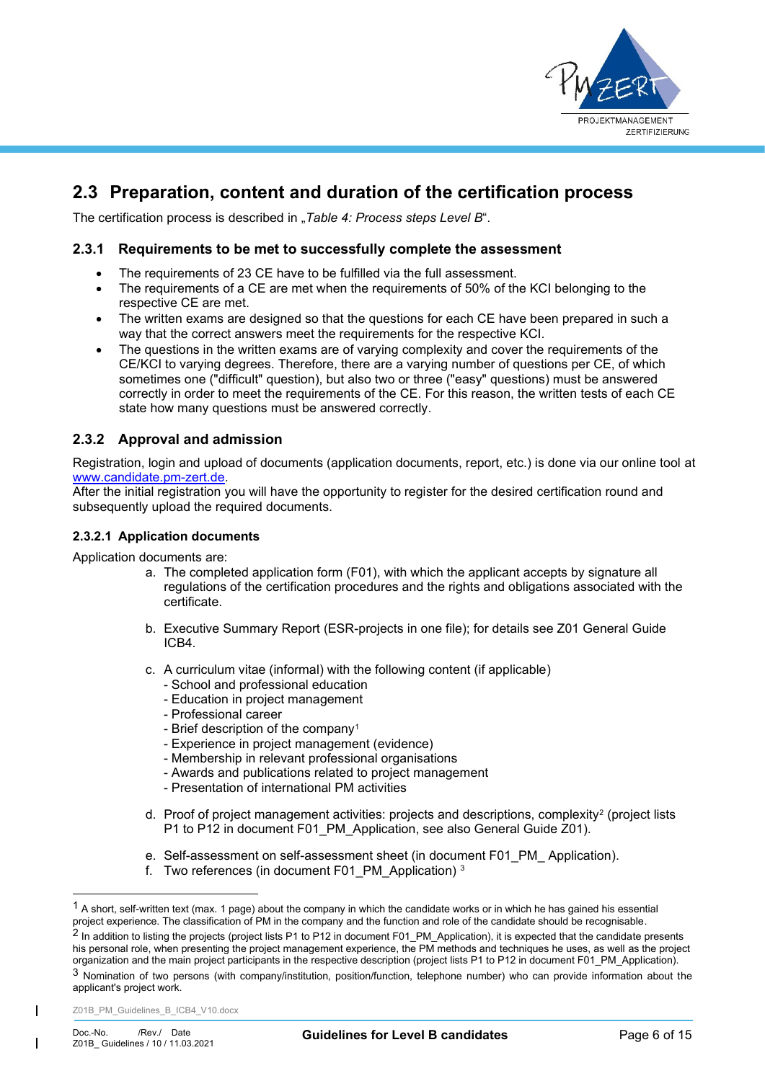

# <span id="page-5-0"></span>**2.3 Preparation, content and duration of the certification process**

<span id="page-5-1"></span>The certification process is described in "[Table 4: Process steps Level B](#page-4-1)".

## **2.3.1 Requirements to be met to successfully complete the assessment**

- The requirements of 23 CE have to be fulfilled via the full assessment.
- The requirements of a CE are met when the requirements of 50% of the KCI belonging to the respective CE are met.
- The written exams are designed so that the questions for each CE have been prepared in such a way that the correct answers meet the requirements for the respective KCI.
- The questions in the written exams are of varying complexity and cover the requirements of the CE/KCI to varying degrees. Therefore, there are a varying number of questions per CE, of which sometimes one ("difficult" question), but also two or three ("easy" questions) must be answered correctly in order to meet the requirements of the CE. For this reason, the written tests of each CE state how many questions must be answered correctly.

# <span id="page-5-2"></span>**2.3.2 Approval and admission**

Registration, login and upload of documents (application documents, report, etc.) is done via our online tool at [www.candidate.pm-zert.de.](http://www.candidate.pm-zert.de/)

After the initial registration you will have the opportunity to register for the desired certification round and subsequently upload the required documents.

## <span id="page-5-3"></span>**2.3.2.1 Application documents**

Application documents are:

- a. The completed application form (F01), with which the applicant accepts by signature all regulations of the certification procedures and the rights and obligations associated with the certificate.
- b. Executive Summary Report (ESR-projects in one file); for details see Z01 General Guide ICB4.
- c. A curriculum vitae (informal) with the following content (if applicable)
	- School and professional education
	- Education in project management
	- Professional career
	- Brief description of the company<sup>1</sup>
	- Experience in project management (evidence)
	- Membership in relevant professional organisations
	- Awards and publications related to project management
	- Presentation of international PM activities
- d. Proof of project management activities: projects and descriptions, complexity<sup>2</sup> (project lists P1 to P12 in document F01 PM Application, see also General Guide Z01).
- e. Self-assessment on self-assessment sheet (in document F01 PM Application).
- f. Two references (in document F01 PM Application)  $3$

 $<sup>1</sup>$  A short, self-written text (max, 1 page) about the company in which the candidate works or in which he has gained his essential</sup> project experience. The classification of PM in the company and the function and role of the candidate should be recognisable.

<sup>&</sup>lt;sup>2</sup> In addition to listing the projects (project lists P1 to P12 in document F01\_PM\_Application), it is expected that the candidate presents his personal role, when presenting the project management experience, the PM methods and techniques he uses, as well as the project organization and the main project participants in the respective description (project lists P1 to P12 in document F01\_PM\_Application).

<sup>3</sup> Nomination of two persons (with company/institution, position/function, telephone number) who can provide information about the applicant's project work.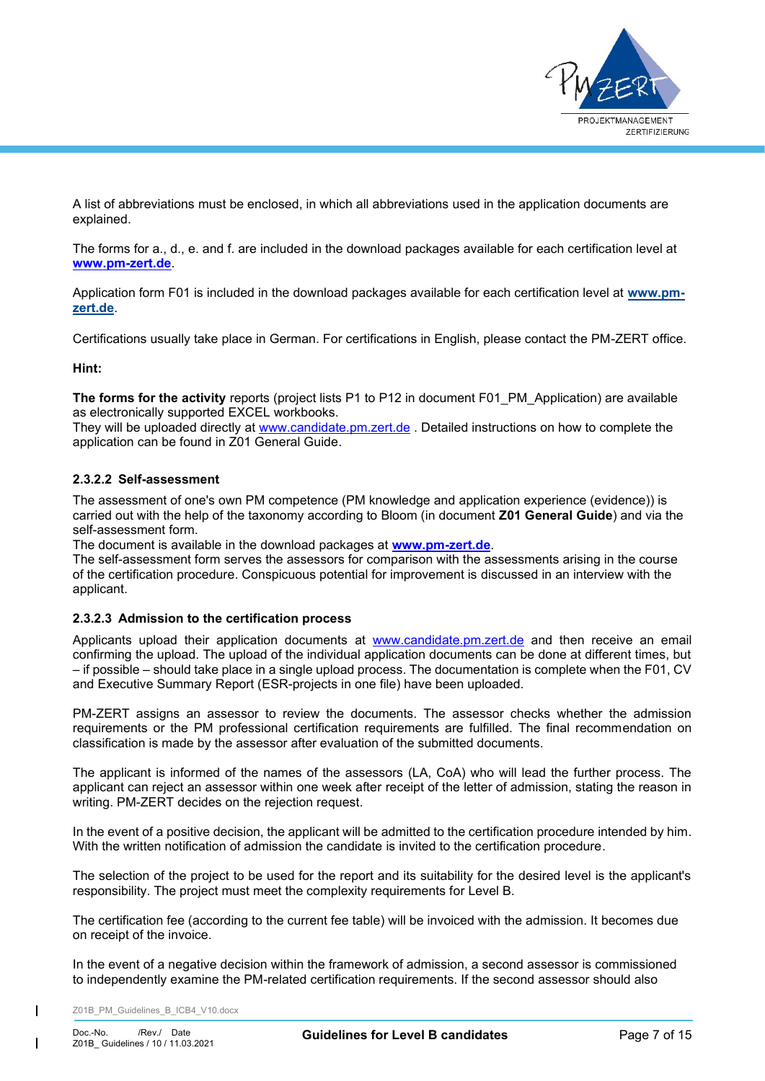

A list of abbreviations must be enclosed, in which all abbreviations used in the application documents are explained.

The forms for a., d., e. and f. are included in the download packages available for each certification level at **[www.pm-zert.de](http://www.pm-zert.de/)**.

Application form F01 is included in the download packages available for each certification level at **[www.pm](http://www.pm-zert.de/)[zert.de](http://www.pm-zert.de/)**.

Certifications usually take place in German. For certifications in English, please contact the PM-ZERT office.

### **Hint:**

The forms for the activity reports (project lists P1 to P12 in document F01 PM Application) are available as electronically supported EXCEL workbooks.

They will be uploaded directly at [www.candidate.pm.zert.de](http://www.candidate.pm.zert.de/). Detailed instructions on how to complete the application can be found in Z01 General Guide.

### <span id="page-6-0"></span>**2.3.2.2 Self-assessment**

The assessment of one's own PM competence (PM knowledge and application experience (evidence)) is carried out with the help of the taxonomy according to Bloom (in document **Z01 General Guide**) and via the self-assessment form.

The document is available in the download packages at **[www.pm-zert.de](http://www.pm-zert.de/)**.

The self-assessment form serves the assessors for comparison with the assessments arising in the course of the certification procedure. Conspicuous potential for improvement is discussed in an interview with the applicant.

## <span id="page-6-1"></span>**2.3.2.3 Admission to the certification process**

Applicants upload their application documents at [www.candidate.pm.zert.de](http://www.candidate.pm.zert.de/) and then receive an email confirming the upload. The upload of the individual application documents can be done at different times, but – if possible – should take place in a single upload process. The documentation is complete when the F01, CV and Executive Summary Report (ESR-projects in one file) have been uploaded.

PM-ZERT assigns an assessor to review the documents. The assessor checks whether the admission requirements or the PM professional certification requirements are fulfilled. The final recommendation on classification is made by the assessor after evaluation of the submitted documents.

The applicant is informed of the names of the assessors (LA, CoA) who will lead the further process. The applicant can reject an assessor within one week after receipt of the letter of admission, stating the reason in writing. PM-ZERT decides on the rejection request.

In the event of a positive decision, the applicant will be admitted to the certification procedure intended by him. With the written notification of admission the candidate is invited to the certification procedure.

The selection of the project to be used for the report and its suitability for the desired level is the applicant's responsibility. The project must meet the complexity requirements for Level B.

The certification fee (according to the current fee table) will be invoiced with the admission. It becomes due on receipt of the invoice.

In the event of a negative decision within the framework of admission, a second assessor is commissioned to independently examine the PM-related certification requirements. If the second assessor should also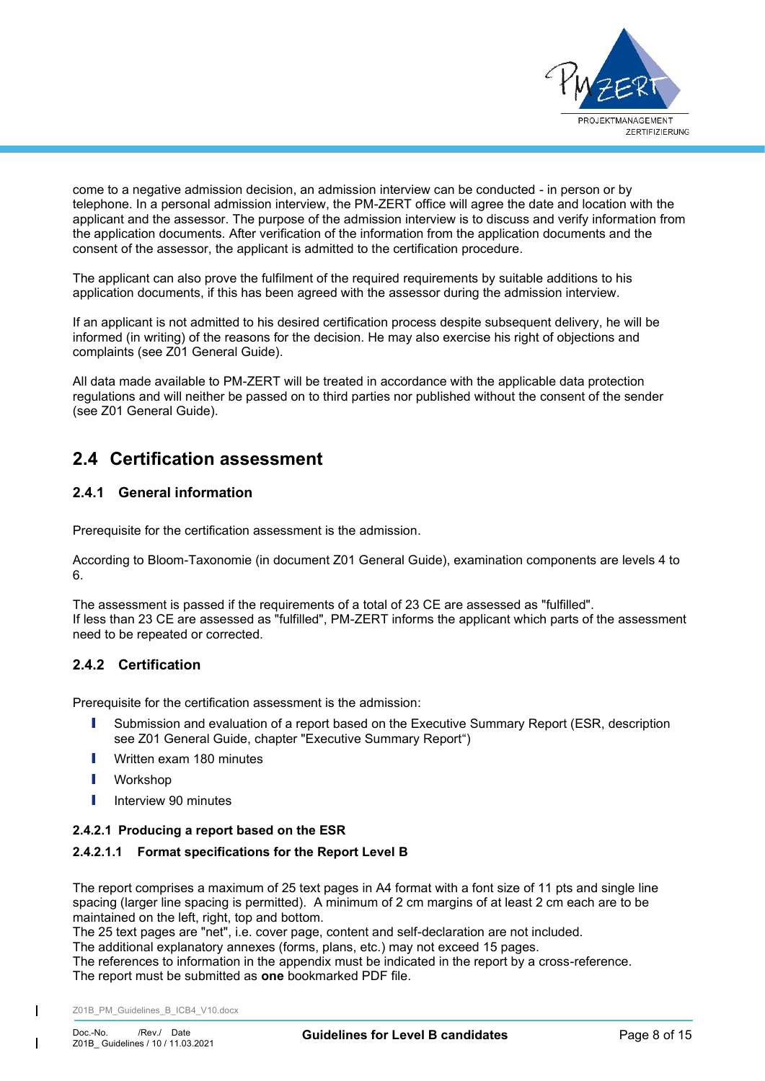

come to a negative admission decision, an admission interview can be conducted - in person or by telephone. In a personal admission interview, the PM-ZERT office will agree the date and location with the applicant and the assessor. The purpose of the admission interview is to discuss and verify information from the application documents. After verification of the information from the application documents and the consent of the assessor, the applicant is admitted to the certification procedure.

The applicant can also prove the fulfilment of the required requirements by suitable additions to his application documents, if this has been agreed with the assessor during the admission interview.

If an applicant is not admitted to his desired certification process despite subsequent delivery, he will be informed (in writing) of the reasons for the decision. He may also exercise his right of objections and complaints (see Z01 General Guide).

All data made available to PM-ZERT will be treated in accordance with the applicable data protection regulations and will neither be passed on to third parties nor published without the consent of the sender (see Z01 General Guide).

# <span id="page-7-0"></span>**2.4 Certification assessment**

# <span id="page-7-1"></span>**2.4.1 General information**

Prerequisite for the certification assessment is the admission.

According to Bloom-Taxonomie (in document Z01 General Guide), examination components are levels 4 to 6.

The assessment is passed if the requirements of a total of 23 CE are assessed as "fulfilled". If less than 23 CE are assessed as "fulfilled", PM-ZERT informs the applicant which parts of the assessment need to be repeated or corrected.

# <span id="page-7-2"></span>**2.4.2 Certification**

Prerequisite for the certification assessment is the admission:

- **I** Submission and evaluation of a report based on the Executive Summary Report (ESR, description see Z01 General Guide, chapter "Executive Summary Report")
- **I** Written exam 180 minutes
- I Workshop
- Interview 90 minutes

## <span id="page-7-3"></span>**2.4.2.1 Producing a report based on the ESR**

## **2.4.2.1.1 Format specifications for the Report Level B**

The report comprises a maximum of 25 text pages in A4 format with a font size of 11 pts and single line spacing (larger line spacing is permitted). A minimum of 2 cm margins of at least 2 cm each are to be maintained on the left, right, top and bottom.

The 25 text pages are "net", i.e. cover page, content and self-declaration are not included.

The additional explanatory annexes (forms, plans, etc.) may not exceed 15 pages.

The references to information in the appendix must be indicated in the report by a cross-reference. The report must be submitted as **one** bookmarked PDF file.

Z01B\_PM\_Guidelines\_B\_ICB4\_V10.docx

 $\mathsf{I}$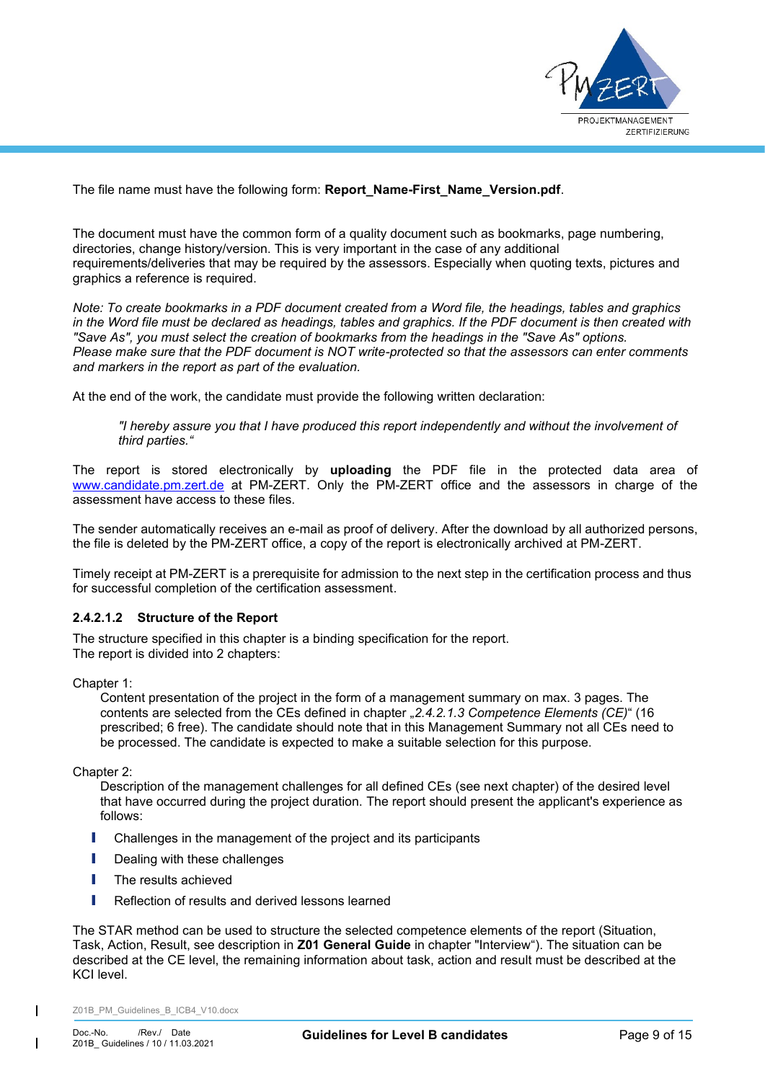

The file name must have the following form: **Report\_Name-First\_Name\_Version.pdf**.

The document must have the common form of a quality document such as bookmarks, page numbering, directories, change history/version. This is very important in the case of any additional requirements/deliveries that may be required by the assessors. Especially when quoting texts, pictures and graphics a reference is required.

*Note: To create bookmarks in a PDF document created from a Word file, the headings, tables and graphics in the Word file must be declared as headings, tables and graphics. If the PDF document is then created with "Save As", you must select the creation of bookmarks from the headings in the "Save As" options. Please make sure that the PDF document is NOT write-protected so that the assessors can enter comments and markers in the report as part of the evaluation.*

At the end of the work, the candidate must provide the following written declaration:

*"I hereby assure you that I have produced this report independently and without the involvement of third parties."*

The report is stored electronically by **uploading** the PDF file in the protected data area of [www.candidate.pm.zert.de](http://www.candidate.pm.zert.de/) at PM-ZERT. Only the PM-ZERT office and the assessors in charge of the assessment have access to these files.

The sender automatically receives an e-mail as proof of delivery. After the download by all authorized persons, the file is deleted by the PM-ZERT office, a copy of the report is electronically archived at PM-ZERT.

Timely receipt at PM-ZERT is a prerequisite for admission to the next step in the certification process and thus for successful completion of the certification assessment.

## <span id="page-8-0"></span>**2.4.2.1.2 Structure of the Report**

The structure specified in this chapter is a binding specification for the report. The report is divided into 2 chapters:

Chapter 1:

Content presentation of the project in the form of a management summary on max. 3 pages. The contents are selected from the CEs defined in chapter "*[2.4.2.1.3](#page-9-0) [Competence Elements](#page-9-0) (CE)*" (16 prescribed; 6 free). The candidate should note that in this Management Summary not all CEs need to be processed. The candidate is expected to make a suitable selection for this purpose.

Chapter 2:

Description of the management challenges for all defined CEs (see next chapter) of the desired level that have occurred during the project duration. The report should present the applicant's experience as follows:

- I Challenges in the management of the project and its participants
- **I** Dealing with these challenges
- **I** The results achieved
- **I** Reflection of results and derived lessons learned

The STAR method can be used to structure the selected competence elements of the report (Situation, Task, Action, Result, see description in **Z01 General Guide** in chapter "Interview"). The situation can be described at the CE level, the remaining information about task, action and result must be described at the KCI level.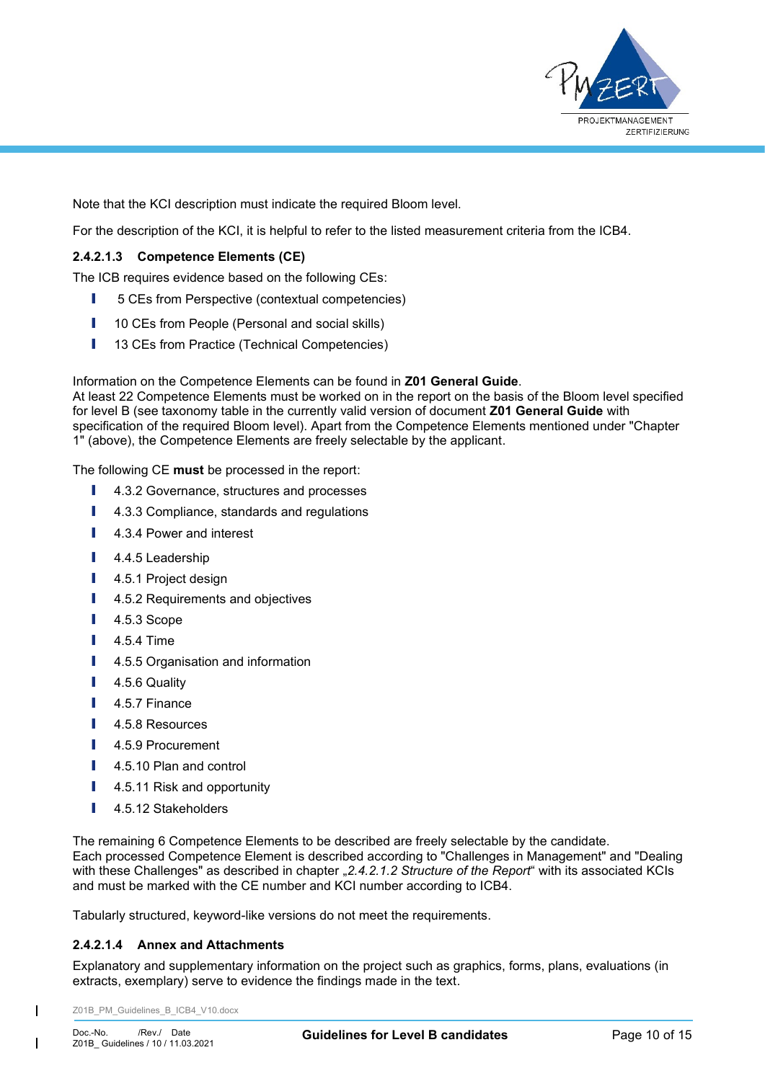

Note that the KCI description must indicate the required Bloom level.

For the description of the KCI, it is helpful to refer to the listed measurement criteria from the ICB4.

## <span id="page-9-0"></span>**2.4.2.1.3 Competence Elements (CE)**

The ICB requires evidence based on the following CEs:

- **I** 5 CEs from Perspective (contextual competencies)
- **I** 10 CEs from People (Personal and social skills)
- **I** 13 CEs from Practice (Technical Competencies)

Information on the Competence Elements can be found in **Z01 General Guide**.

At least 22 Competence Elements must be worked on in the report on the basis of the Bloom level specified for level B (see taxonomy table in the currently valid version of document **Z01 General Guide** with specification of the required Bloom level). Apart from the Competence Elements mentioned under "Chapter 1" (above), the Competence Elements are freely selectable by the applicant.

The following CE **must** be processed in the report:

- **I** 4.3.2 Governance, structures and processes
- **I** 4.3.3 Compliance, standards and regulations
- **I** 4.3.4 Power and interest
- **I** 4.4.5 Leadership
- **I** 4.5.1 Project design
- **I** 4.5.2 Requirements and objectives
- **I** 4.5.3 Scope
- **I** 4.5.4 Time
- **I** 4.5.5 Organisation and information
- **I** 4.5.6 Quality
- **I** 4.5.7 Finance
- **I** 4.5.8 Resources
- **I** 4.5.9 Procurement
- **I** 4.5.10 Plan and control
- **I** 4.5.11 Risk and opportunity
- I 4.5.12 Stakeholders

The remaining 6 Competence Elements to be described are freely selectable by the candidate. Each processed Competence Element is described according to "Challenges in Management" and "Dealing with these Challenges" as described in chapter "[2.4.2.1.2](#page-8-0) *[Structure of the Report](#page-8-0)*" with its associated KCIs and must be marked with the CE number and KCI number according to ICB4.

Tabularly structured, keyword-like versions do not meet the requirements.

#### **2.4.2.1.4 Annex and Attachments**

Explanatory and supplementary information on the project such as graphics, forms, plans, evaluations (in extracts, exemplary) serve to evidence the findings made in the text.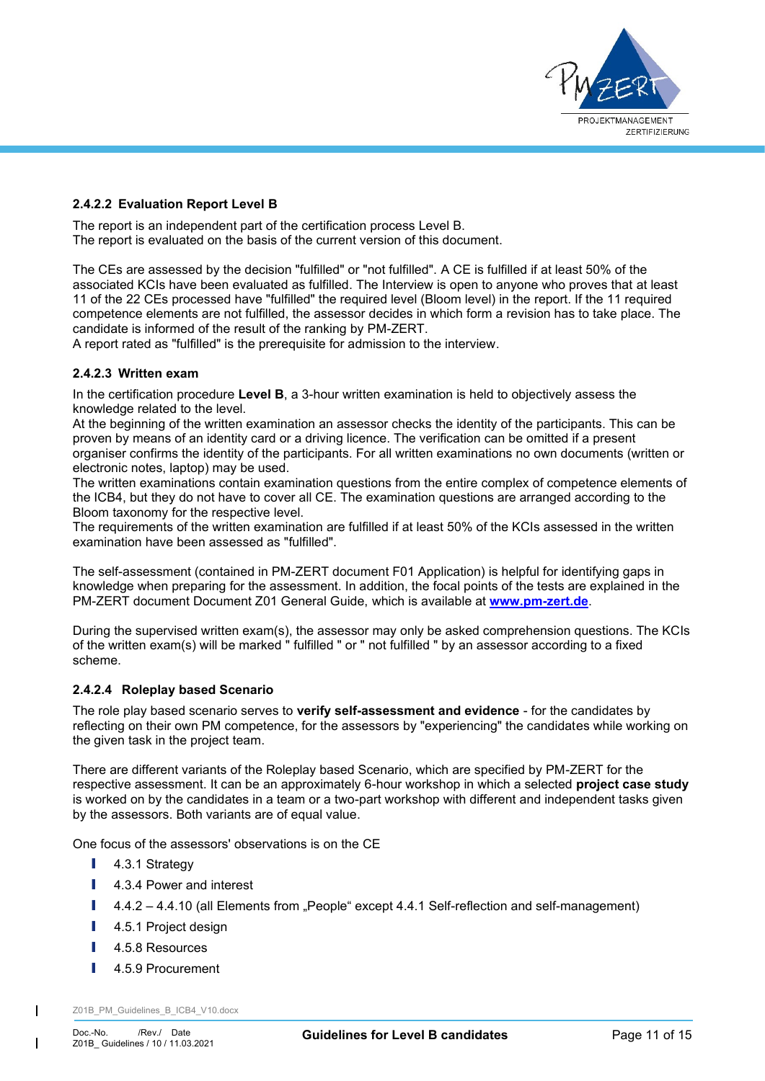

### <span id="page-10-0"></span>**2.4.2.2 Evaluation Report Level B**

The report is an independent part of the certification process Level B. The report is evaluated on the basis of the current version of this document.

The CEs are assessed by the decision "fulfilled" or "not fulfilled". A CE is fulfilled if at least 50% of the associated KCIs have been evaluated as fulfilled. The Interview is open to anyone who proves that at least 11 of the 22 CEs processed have "fulfilled" the required level (Bloom level) in the report. If the 11 required competence elements are not fulfilled, the assessor decides in which form a revision has to take place. The candidate is informed of the result of the ranking by PM-ZERT.

A report rated as "fulfilled" is the prerequisite for admission to the interview.

## <span id="page-10-1"></span>**2.4.2.3 Written exam**

In the certification procedure **Level B**, a 3-hour written examination is held to objectively assess the knowledge related to the level.

At the beginning of the written examination an assessor checks the identity of the participants. This can be proven by means of an identity card or a driving licence. The verification can be omitted if a present organiser confirms the identity of the participants. For all written examinations no own documents (written or electronic notes, laptop) may be used.

The written examinations contain examination questions from the entire complex of competence elements of the ICB4, but they do not have to cover all CE. The examination questions are arranged according to the Bloom taxonomy for the respective level.

The requirements of the written examination are fulfilled if at least 50% of the KCIs assessed in the written examination have been assessed as "fulfilled".

The self-assessment (contained in PM-ZERT document F01 Application) is helpful for identifying gaps in knowledge when preparing for the assessment. In addition, the focal points of the tests are explained in the PM-ZERT document Document Z01 General Guide, which is available at **[www.pm-zert.de](http://www.pm-zert.de/)**.

During the supervised written exam(s), the assessor may only be asked comprehension questions. The KCIs of the written exam(s) will be marked " fulfilled " or " not fulfilled " by an assessor according to a fixed scheme.

#### <span id="page-10-2"></span>**2.4.2.4 Roleplay based Scenario**

The role play based scenario serves to **verify self-assessment and evidence** - for the candidates by reflecting on their own PM competence, for the assessors by "experiencing" the candidates while working on the given task in the project team.

There are different variants of the Roleplay based Scenario, which are specified by PM-ZERT for the respective assessment. It can be an approximately 6-hour workshop in which a selected **project case study** is worked on by the candidates in a team or a two-part workshop with different and independent tasks given by the assessors. Both variants are of equal value.

One focus of the assessors' observations is on the CE

- **I** 4.3.1 Strategy
- **I** 4.3.4 Power and interest
- $I = 4.4.2 4.4.10$  (all Elements from "People" except 4.4.1 Self-reflection and self-management)
- **I** 4.5.1 Project design
- **I** 4.5.8 Resources
- **I** 4.5.9 Procurement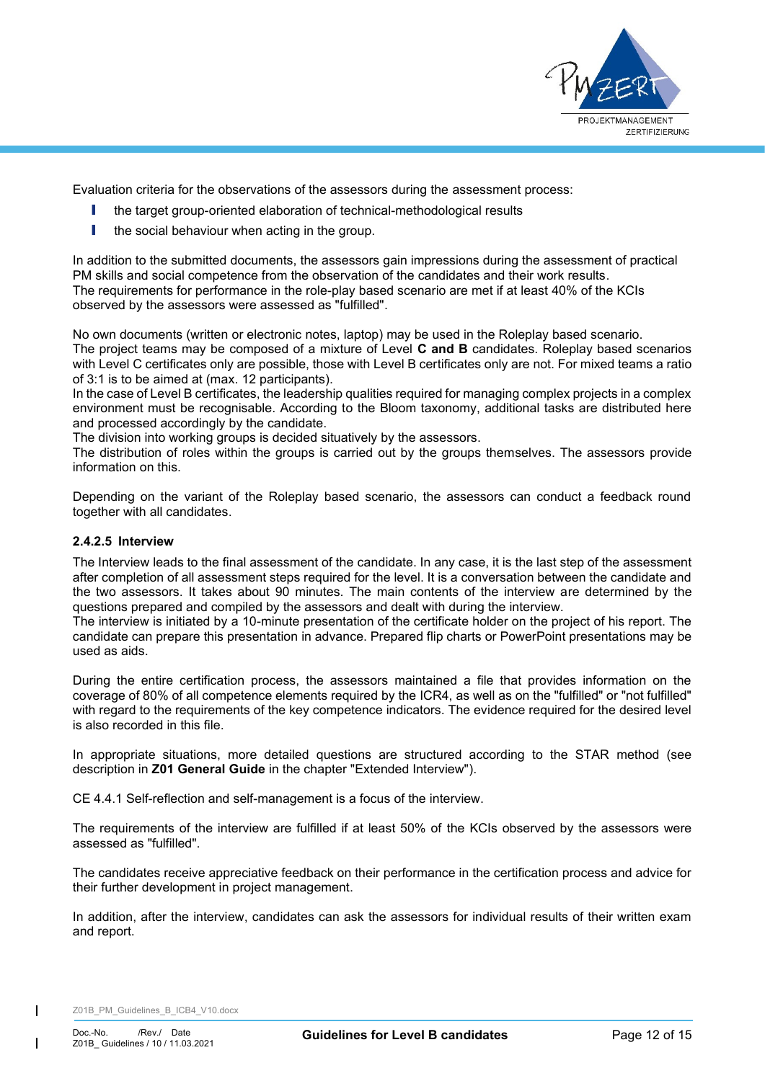

Evaluation criteria for the observations of the assessors during the assessment process:

- I the target group-oriented elaboration of technical-methodological results
- I the social behaviour when acting in the group.

In addition to the submitted documents, the assessors gain impressions during the assessment of practical PM skills and social competence from the observation of the candidates and their work results. The requirements for performance in the role-play based scenario are met if at least 40% of the KCIs observed by the assessors were assessed as "fulfilled".

No own documents (written or electronic notes, laptop) may be used in the Roleplay based scenario. The project teams may be composed of a mixture of Level **C and B** candidates. Roleplay based scenarios with Level C certificates only are possible, those with Level B certificates only are not. For mixed teams a ratio of 3:1 is to be aimed at (max. 12 participants).

In the case of Level B certificates, the leadership qualities required for managing complex projects in a complex environment must be recognisable. According to the Bloom taxonomy, additional tasks are distributed here and processed accordingly by the candidate.

The division into working groups is decided situatively by the assessors.

The distribution of roles within the groups is carried out by the groups themselves. The assessors provide information on this.

Depending on the variant of the Roleplay based scenario, the assessors can conduct a feedback round together with all candidates.

### <span id="page-11-0"></span>**2.4.2.5 Interview**

The Interview leads to the final assessment of the candidate. In any case, it is the last step of the assessment after completion of all assessment steps required for the level. It is a conversation between the candidate and the two assessors. It takes about 90 minutes. The main contents of the interview are determined by the questions prepared and compiled by the assessors and dealt with during the interview.

The interview is initiated by a 10-minute presentation of the certificate holder on the project of his report. The candidate can prepare this presentation in advance. Prepared flip charts or PowerPoint presentations may be used as aids.

During the entire certification process, the assessors maintained a file that provides information on the coverage of 80% of all competence elements required by the ICR4, as well as on the "fulfilled" or "not fulfilled" with regard to the requirements of the key competence indicators. The evidence required for the desired level is also recorded in this file.

In appropriate situations, more detailed questions are structured according to the STAR method (see description in **Z01 General Guide** in the chapter "Extended Interview").

CE 4.4.1 Self-reflection and self-management is a focus of the interview.

The requirements of the interview are fulfilled if at least 50% of the KCIs observed by the assessors were assessed as "fulfilled".

The candidates receive appreciative feedback on their performance in the certification process and advice for their further development in project management.

In addition, after the interview, candidates can ask the assessors for individual results of their written exam and report.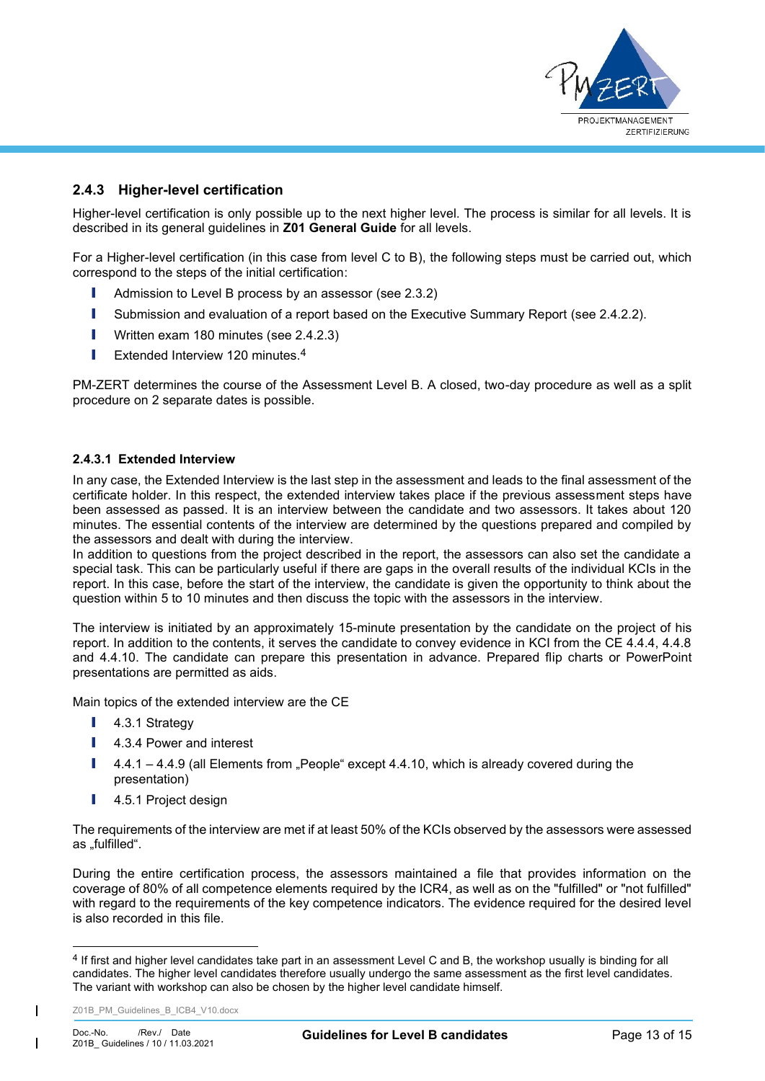

# <span id="page-12-0"></span>**2.4.3 Higher-level certification**

Higher-level certification is only possible up to the next higher level. The process is similar for all levels. It is described in its general guidelines in **Z01 General Guide** for all levels.

For a Higher-level certification (in this case from level C to B), the following steps must be carried out, which correspond to the steps of the initial certification:

- **I** Admission to Level B process by an assessor (see [2.3.2\)](#page-5-2)
- **I** Submission and evaluation of a report based on the Executive Summary Report (see [2.4.2.2\)](#page-10-0).
- **I** Written exam 180 minutes (see [2.4.2.3\)](#page-10-1)
- **I** Extended Interview 120 minutes.<sup>4</sup>

PM-ZERT determines the course of the Assessment Level B. A closed, two-day procedure as well as a split procedure on 2 separate dates is possible.

### <span id="page-12-1"></span>**2.4.3.1 Extended Interview**

In any case, the Extended Interview is the last step in the assessment and leads to the final assessment of the certificate holder. In this respect, the extended interview takes place if the previous assessment steps have been assessed as passed. It is an interview between the candidate and two assessors. It takes about 120 minutes. The essential contents of the interview are determined by the questions prepared and compiled by the assessors and dealt with during the interview.

In addition to questions from the project described in the report, the assessors can also set the candidate a special task. This can be particularly useful if there are gaps in the overall results of the individual KCIs in the report. In this case, before the start of the interview, the candidate is given the opportunity to think about the question within 5 to 10 minutes and then discuss the topic with the assessors in the interview.

The interview is initiated by an approximately 15-minute presentation by the candidate on the project of his report. In addition to the contents, it serves the candidate to convey evidence in KCI from the CE 4.4.4, 4.4.8 and 4.4.10. The candidate can prepare this presentation in advance. Prepared flip charts or PowerPoint presentations are permitted as aids.

Main topics of the extended interview are the CE

- **I** 4.3.1 Strategy
- **I** 4.3.4 Power and interest
- $I = 4.4.1 4.4.9$  (all Elements from "People" except 4.4.10, which is already covered during the presentation)
- **I** 4.5.1 Project design

The requirements of the interview are met if at least 50% of the KCIs observed by the assessors were assessed as "fulfilled".

During the entire certification process, the assessors maintained a file that provides information on the coverage of 80% of all competence elements required by the ICR4, as well as on the "fulfilled" or "not fulfilled" with regard to the requirements of the key competence indicators. The evidence required for the desired level is also recorded in this file.

<sup>&</sup>lt;sup>4</sup> If first and higher level candidates take part in an assessment Level C and B, the workshop usually is binding for all candidates. The higher level candidates therefore usually undergo the same assessment as the first level candidates. The variant with workshop can also be chosen by the higher level candidate himself.

Z01B\_PM\_Guidelines\_B\_ICB4\_V10.docx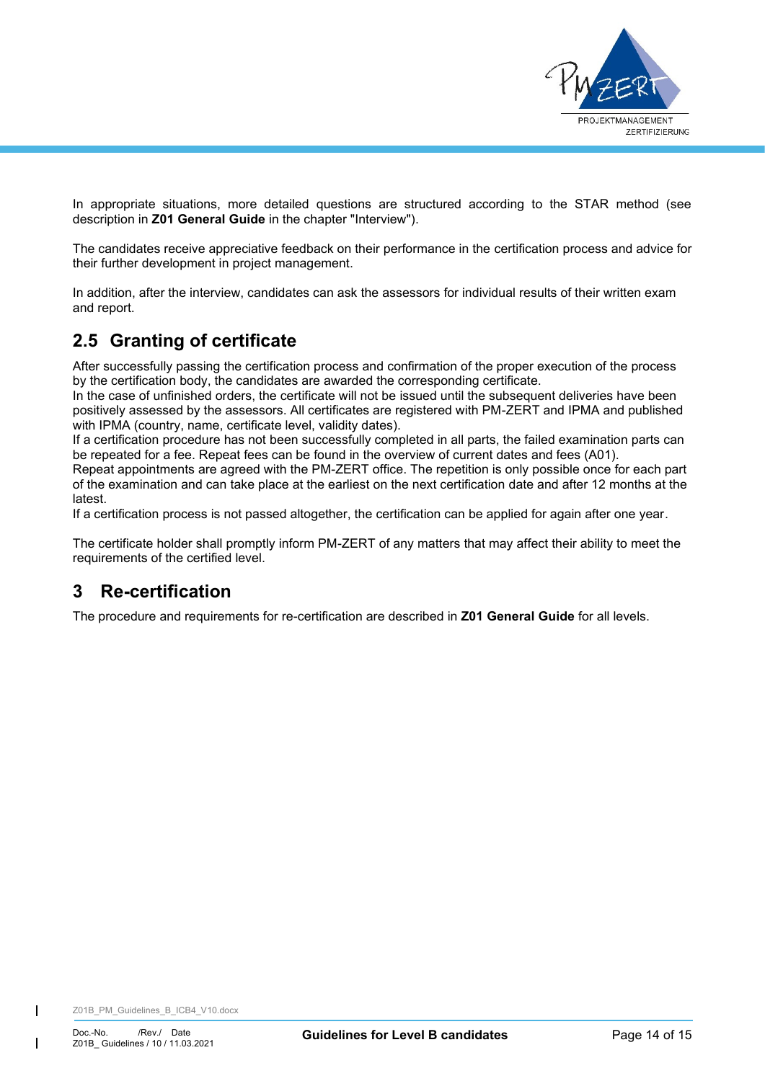

In appropriate situations, more detailed questions are structured according to the STAR method (see description in **Z01 General Guide** in the chapter "Interview").

The candidates receive appreciative feedback on their performance in the certification process and advice for their further development in project management.

In addition, after the interview, candidates can ask the assessors for individual results of their written exam and report.

# <span id="page-13-0"></span>**2.5 Granting of certificate**

After successfully passing the certification process and confirmation of the proper execution of the process by the certification body, the candidates are awarded the corresponding certificate.

In the case of unfinished orders, the certificate will not be issued until the subsequent deliveries have been positively assessed by the assessors. All certificates are registered with PM-ZERT and IPMA and published with IPMA (country, name, certificate level, validity dates).

If a certification procedure has not been successfully completed in all parts, the failed examination parts can be repeated for a fee. Repeat fees can be found in the overview of current dates and fees (A01).

Repeat appointments are agreed with the PM-ZERT office. The repetition is only possible once for each part of the examination and can take place at the earliest on the next certification date and after 12 months at the latest.

If a certification process is not passed altogether, the certification can be applied for again after one year.

The certificate holder shall promptly inform PM-ZERT of any matters that may affect their ability to meet the requirements of the certified level.

# <span id="page-13-1"></span>**3 Re-certification**

The procedure and requirements for re-certification are described in **Z01 General Guide** for all levels.